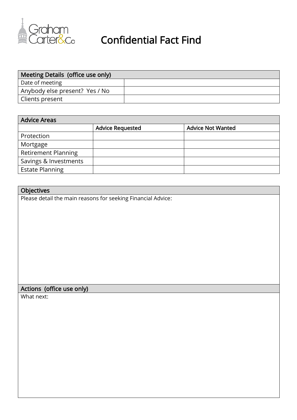

| Meeting Details (office use only) |  |
|-----------------------------------|--|
| Date of meeting                   |  |
| Anybody else present? Yes / No    |  |
| Clients present                   |  |

| <b>Advice Areas</b>        |                         |                          |  |  |
|----------------------------|-------------------------|--------------------------|--|--|
|                            | <b>Advice Requested</b> | <b>Advice Not Wanted</b> |  |  |
| Protection                 |                         |                          |  |  |
| Mortgage                   |                         |                          |  |  |
| <b>Retirement Planning</b> |                         |                          |  |  |
| Savings & Investments      |                         |                          |  |  |
| <b>Estate Planning</b>     |                         |                          |  |  |

| Objectives                                                   |
|--------------------------------------------------------------|
| Please detail the main reasons for seeking Financial Advice: |
|                                                              |
|                                                              |
|                                                              |
|                                                              |
|                                                              |
|                                                              |
|                                                              |
|                                                              |
|                                                              |
|                                                              |
| Actions (office use only)                                    |
| What next:                                                   |
|                                                              |
|                                                              |
|                                                              |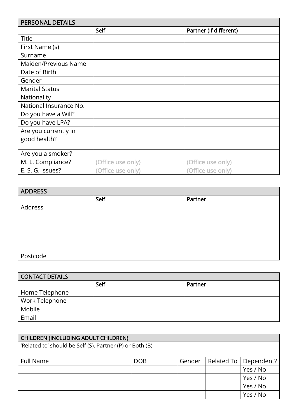| <b>PERSONAL DETAILS</b> |                   |                        |  |
|-------------------------|-------------------|------------------------|--|
|                         | <b>Self</b>       | Partner (If different) |  |
| Title                   |                   |                        |  |
| First Name (s)          |                   |                        |  |
| Surname                 |                   |                        |  |
| Maiden/Previous Name    |                   |                        |  |
| Date of Birth           |                   |                        |  |
| Gender                  |                   |                        |  |
| <b>Marital Status</b>   |                   |                        |  |
| Nationality             |                   |                        |  |
| National Insurance No.  |                   |                        |  |
| Do you have a Will?     |                   |                        |  |
| Do you have LPA?        |                   |                        |  |
| Are you currently in    |                   |                        |  |
| good health?            |                   |                        |  |
|                         |                   |                        |  |
| Are you a smoker?       |                   |                        |  |
| M. L. Compliance?       | (Office use only) | (Office use only)      |  |
| E. S. G. Issues?        | (Office use only) | (Office use only)      |  |

| <b>ADDRESS</b> |      |         |  |
|----------------|------|---------|--|
|                | Self | Partner |  |
| Address        |      |         |  |
|                |      |         |  |
|                |      |         |  |
|                |      |         |  |
|                |      |         |  |
|                |      |         |  |
| Postcode       |      |         |  |

| <b>CONTACT DETAILS</b> |      |         |
|------------------------|------|---------|
|                        | Self | Partner |
| Home Telephone         |      |         |
| Work Telephone         |      |         |
| Mobile                 |      |         |
| Email                  |      |         |

| <b>CHILDREN (INCLUDING ADULT CHILDREN)</b>               |            |        |            |            |  |
|----------------------------------------------------------|------------|--------|------------|------------|--|
| 'Related to' should be Self (S), Partner (P) or Both (B) |            |        |            |            |  |
|                                                          |            |        |            |            |  |
| Full Name                                                | <b>DOB</b> | Gender | Related To | Dependent? |  |
|                                                          |            |        |            | Yes / No   |  |
|                                                          |            |        |            | Yes / No   |  |
|                                                          |            |        |            | Yes / No   |  |
|                                                          |            |        |            | Yes / No   |  |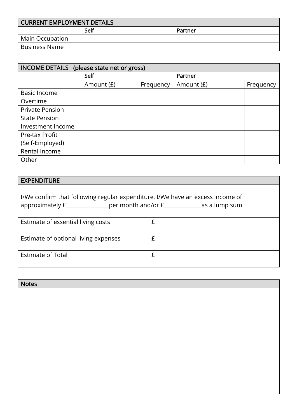| CURRENT EMPLOYMENT DETAILS |      |         |  |
|----------------------------|------|---------|--|
|                            | Self | Partner |  |
| Main Occupation            |      |         |  |
| <b>Business Name</b>       |      |         |  |

| INCOME DETAILS (please state net or gross) |            |           |              |           |
|--------------------------------------------|------------|-----------|--------------|-----------|
|                                            | Self       |           | Partner      |           |
|                                            | Amount (£) | Frequency | Amount $(E)$ | Frequency |
| <b>Basic Income</b>                        |            |           |              |           |
| Overtime                                   |            |           |              |           |
| <b>Private Pension</b>                     |            |           |              |           |
| <b>State Pension</b>                       |            |           |              |           |
| Investment Income                          |            |           |              |           |
| Pre-tax Profit                             |            |           |              |           |
| (Self-Employed)                            |            |           |              |           |
| Rental Income                              |            |           |              |           |
| Other                                      |            |           |              |           |

## EXPENDITURE

| I/We confirm that following regular expenditure, I/We have an excess income of<br>approximately $\underline{f}$ per month and/or $\underline{f}$ as a lump sum. |  |  |  |
|-----------------------------------------------------------------------------------------------------------------------------------------------------------------|--|--|--|
| Estimate of essential living costs                                                                                                                              |  |  |  |
| Estimate of optional living expenses                                                                                                                            |  |  |  |
| <b>Estimate of Total</b>                                                                                                                                        |  |  |  |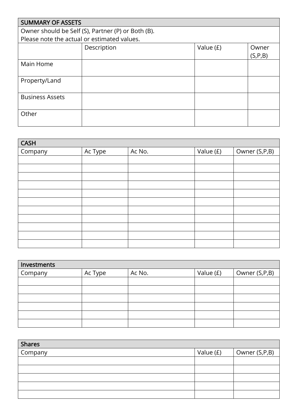| <b>SUMMARY OF ASSETS</b>                    |                                                    |           |           |  |  |
|---------------------------------------------|----------------------------------------------------|-----------|-----------|--|--|
|                                             | Owner should be Self (S), Partner (P) or Both (B). |           |           |  |  |
| Please note the actual or estimated values. |                                                    |           |           |  |  |
|                                             | Description                                        | Value (£) | Owner     |  |  |
|                                             |                                                    |           | (S, P, B) |  |  |
| Main Home                                   |                                                    |           |           |  |  |
|                                             |                                                    |           |           |  |  |
| Property/Land                               |                                                    |           |           |  |  |
|                                             |                                                    |           |           |  |  |
| <b>Business Assets</b>                      |                                                    |           |           |  |  |
|                                             |                                                    |           |           |  |  |
| Other                                       |                                                    |           |           |  |  |
|                                             |                                                    |           |           |  |  |

| <b>CASH</b> |         |        |           |               |
|-------------|---------|--------|-----------|---------------|
| Company     | Ac Type | Ac No. | Value (£) | Owner (S,P,B) |
|             |         |        |           |               |
|             |         |        |           |               |
|             |         |        |           |               |
|             |         |        |           |               |
|             |         |        |           |               |
|             |         |        |           |               |
|             |         |        |           |               |
|             |         |        |           |               |
|             |         |        |           |               |
|             |         |        |           |               |
|             |         |        |           |               |

| Investments |         |        |           |               |
|-------------|---------|--------|-----------|---------------|
| Company     | Ac Type | Ac No. | Value (£) | Owner (S,P,B) |
|             |         |        |           |               |
|             |         |        |           |               |
|             |         |        |           |               |
|             |         |        |           |               |
|             |         |        |           |               |
|             |         |        |           |               |

| <b>Shares</b> |           |               |
|---------------|-----------|---------------|
| Company       | Value (£) | Owner (S,P,B) |
|               |           |               |
|               |           |               |
|               |           |               |
|               |           |               |
|               |           |               |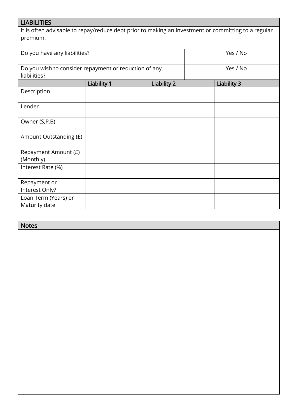## LIABILITIES

It is often advisable to repay/reduce debt prior to making an investment or committing to a regular premium.

| Do you have any liabilities?                          |                    |             | Yes / No           |  |
|-------------------------------------------------------|--------------------|-------------|--------------------|--|
| Do you wish to consider repayment or reduction of any |                    |             | Yes / No           |  |
| liabilities?                                          |                    |             |                    |  |
|                                                       | <b>Liability 1</b> | Liability 2 | <b>Liability 3</b> |  |
| Description                                           |                    |             |                    |  |
| Lender                                                |                    |             |                    |  |
| Owner (S,P,B)                                         |                    |             |                    |  |
| Amount Outstanding (£)                                |                    |             |                    |  |
| Repayment Amount (£)                                  |                    |             |                    |  |
| (Monthly)                                             |                    |             |                    |  |
| Interest Rate (%)                                     |                    |             |                    |  |
| Repayment or                                          |                    |             |                    |  |
| Interest Only?                                        |                    |             |                    |  |
| Loan Term (Years) or                                  |                    |             |                    |  |
| Maturity date                                         |                    |             |                    |  |

| <b>Notes</b> |  |
|--------------|--|
|              |  |
|              |  |
|              |  |
|              |  |
|              |  |
|              |  |
|              |  |
|              |  |
|              |  |
|              |  |
|              |  |
|              |  |
|              |  |
|              |  |
|              |  |
|              |  |
|              |  |
|              |  |
|              |  |
|              |  |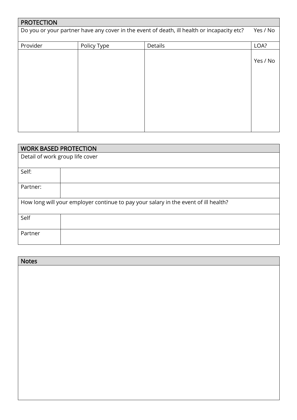| <b>PROTECTION</b> |             |                                                                                            |          |
|-------------------|-------------|--------------------------------------------------------------------------------------------|----------|
|                   |             | Do you or your partner have any cover in the event of death, ill health or incapacity etc? | Yes / No |
|                   |             |                                                                                            |          |
| Provider          | Policy Type | Details                                                                                    | LOA?     |
|                   |             |                                                                                            |          |
|                   |             |                                                                                            | Yes / No |
|                   |             |                                                                                            |          |
|                   |             |                                                                                            |          |
|                   |             |                                                                                            |          |
|                   |             |                                                                                            |          |
|                   |             |                                                                                            |          |
|                   |             |                                                                                            |          |
|                   |             |                                                                                            |          |
|                   |             |                                                                                            |          |
|                   |             |                                                                                            |          |

|                                 | <b>WORK BASED PROTECTION</b>                                                        |  |  |
|---------------------------------|-------------------------------------------------------------------------------------|--|--|
| Detail of work group life cover |                                                                                     |  |  |
|                                 |                                                                                     |  |  |
| Self:                           |                                                                                     |  |  |
| Partner:                        |                                                                                     |  |  |
|                                 | How long will your employer continue to pay your salary in the event of ill health? |  |  |
| Self                            |                                                                                     |  |  |
| Partner                         |                                                                                     |  |  |

| <b>Notes</b> |
|--------------|
|              |
|              |
|              |
|              |
|              |
|              |
|              |
|              |
|              |
|              |
|              |
|              |
|              |
|              |
|              |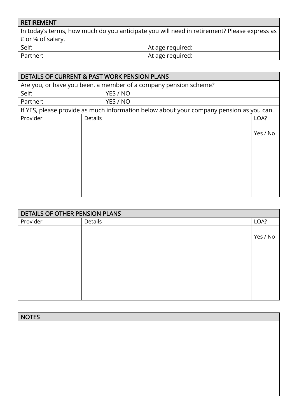| RETIREMENT        |                                                                                             |
|-------------------|---------------------------------------------------------------------------------------------|
|                   | In today's terms, how much do you anticipate you will need in retirement? Please express as |
| £ or % of salary. |                                                                                             |
| Self:             | At age required:                                                                            |
| Partner:          | At age required:                                                                            |

|          | <b>DETAILS OF CURRENT &amp; PAST WORK PENSION PLANS</b> |                                                                                         |          |  |
|----------|---------------------------------------------------------|-----------------------------------------------------------------------------------------|----------|--|
|          |                                                         | Are you, or have you been, a member of a company pension scheme?                        |          |  |
| Self:    |                                                         | YES / NO                                                                                |          |  |
| Partner: |                                                         | YES / NO                                                                                |          |  |
|          |                                                         | If YES, please provide as much information below about your company pension as you can. |          |  |
| Provider | <b>Details</b>                                          |                                                                                         | LOA?     |  |
|          |                                                         |                                                                                         | Yes / No |  |

| DETAILS OF OTHER PENSION PLANS |         |          |  |
|--------------------------------|---------|----------|--|
| Provider                       | Details | LOA?     |  |
|                                |         | Yes / No |  |
|                                |         |          |  |
|                                |         |          |  |
|                                |         |          |  |
|                                |         |          |  |

| <b>NOTES</b> |  |
|--------------|--|
|              |  |
|              |  |
|              |  |
|              |  |
|              |  |
|              |  |
|              |  |
|              |  |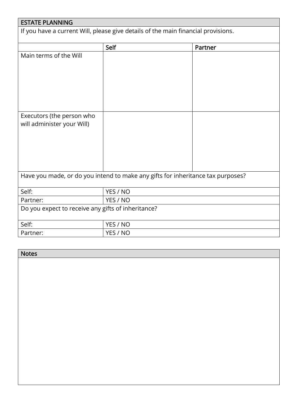| <b>ESTATE PLANNING</b>                                                            |          |         |  |  |  |
|-----------------------------------------------------------------------------------|----------|---------|--|--|--|
| If you have a current Will, please give details of the main financial provisions. |          |         |  |  |  |
|                                                                                   | Self     | Partner |  |  |  |
| Main terms of the Will                                                            |          |         |  |  |  |
| Executors (the person who<br>will administer your Will)                           |          |         |  |  |  |
| Have you made, or do you intend to make any gifts for inheritance tax purposes?   |          |         |  |  |  |
| Self:                                                                             | YES / NO |         |  |  |  |
| Partner:                                                                          | YES / NO |         |  |  |  |
| Do you expect to receive any gifts of inheritance?                                |          |         |  |  |  |
| Self:                                                                             | YES / NO |         |  |  |  |
| Partner:                                                                          | YES / NO |         |  |  |  |

| <b>Notes</b> |
|--------------|
|              |
|              |
|              |
|              |
|              |
|              |
|              |
|              |
|              |
|              |
|              |
|              |
|              |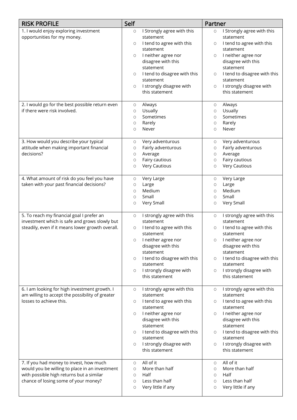| <b>RISK PROFILE</b>                                                              | Self                |                                            | Partner                  |                                            |
|----------------------------------------------------------------------------------|---------------------|--------------------------------------------|--------------------------|--------------------------------------------|
| 1. I would enjoy exploring investment                                            | $\circ$             | I Strongly agree with this                 | O                        | I Strongly agree with this                 |
| opportunities for my money.                                                      | $\circ$             | statement<br>I tend to agree with this     | O                        | statement<br>I tend to agree with this     |
|                                                                                  |                     | statement                                  |                          | statement                                  |
|                                                                                  | $\circ$             | I neither agree nor                        | $\circ$                  | I neither agree nor                        |
|                                                                                  |                     | disagree with this<br>statement            |                          | disagree with this<br>statement            |
|                                                                                  | O                   | I tend to disagree with this               | $\circ$                  | I tend to disagree with this               |
|                                                                                  |                     | statement                                  |                          | statement                                  |
|                                                                                  | $\circ$             | I strongly disagree with<br>this statement | $\circlearrowright$      | I strongly disagree with<br>this statement |
|                                                                                  |                     |                                            |                          |                                            |
| 2. I would go for the best possible return even<br>if there were risk involved.  | $\circ$             | Always                                     | $\circ$                  | Always                                     |
|                                                                                  | O<br>$\circ$        | Usually<br>Sometimes                       | $\circ$<br>O             | Usually<br>Sometimes                       |
|                                                                                  | $\circ$             | Rarely                                     | $\circ$                  | Rarely                                     |
|                                                                                  | $\circ$             | Never                                      | O                        | Never                                      |
| 3. How would you describe your typical                                           | O                   | Very adventurous                           | $\circ$                  | Very adventurous                           |
| attitude when making important financial                                         | O                   | Fairly adventurous                         | $\circlearrowright$      | Fairly adventurous                         |
| decisions?                                                                       | O                   | Average                                    | O                        | Average                                    |
|                                                                                  | O                   | Fairy cautious<br><b>Very Cautious</b>     | $\circ$                  | Fairy cautious<br><b>Very Cautious</b>     |
|                                                                                  | $\circ$             |                                            | $\circ$                  |                                            |
| 4. What amount of risk do you feel you have                                      | $\circlearrowright$ | Very Large                                 | $\circ$                  | Very Large                                 |
| taken with your past financial decisions?                                        | $\circ$<br>$\circ$  | Large<br>Medium                            | $\circ$<br>$\circ$       | Large<br>Medium                            |
|                                                                                  | $\circ$             | Small                                      | O                        | Small                                      |
|                                                                                  | $\circ$             | Very Small                                 | $\circ$                  | Very Small                                 |
| 5. To reach my financial goal I prefer an                                        | $\circ$             | I strongly agree with this                 | $\circlearrowright$      | I strongly agree with this                 |
| investment which is safe and grows slowly but                                    |                     | statement                                  |                          | statement                                  |
| steadily, even if it means lower growth overall.                                 | O                   | I tend to agree with this<br>statement     | O                        | I tend to agree with this<br>statement     |
|                                                                                  | $\circ$             | I neither agree nor                        | O                        | I neither agree nor                        |
|                                                                                  |                     | disagree with this                         |                          | disagree with this                         |
|                                                                                  |                     | statement                                  |                          | statement                                  |
|                                                                                  | $\circ$             | I tend to disagree with this<br>statement  | O                        | I tend to disagree with this<br>statement  |
|                                                                                  | 0                   | I strongly disagree with                   | O                        | I strongly disagree with                   |
|                                                                                  |                     | this statement                             |                          | this statement                             |
| 6. I am looking for high investment growth. I                                    | $\circlearrowright$ | I strongly agree with this                 | $\circ$                  | I strongly agree with this                 |
| am willing to accept the possibility of greater<br>losses to achieve this.       | $\circ$             | statement<br>I tend to agree with this     | O                        | statement<br>I tend to agree with this     |
|                                                                                  |                     | statement                                  |                          | statement                                  |
|                                                                                  | 0                   | I neither agree nor                        | O                        | I neither agree nor                        |
|                                                                                  |                     | disagree with this<br>statement            |                          | disagree with this<br>statement            |
|                                                                                  | O                   | I tend to disagree with this               | O                        | I tend to disagree with this               |
|                                                                                  |                     | statement                                  |                          | statement                                  |
|                                                                                  | O                   | I strongly disagree with<br>this statement | O                        | I strongly disagree with<br>this statement |
|                                                                                  |                     |                                            |                          |                                            |
| 7. If you had money to invest, how much                                          | $\circ$             | All of it                                  | $\circlearrowright$      | All of it                                  |
| would you be willing to place in an investment                                   | O                   | More than half                             | O                        | More than half                             |
| with possible high returns but a similar<br>chance of losing some of your money? | O<br>O              | Half<br>Less than half                     | $\circlearrowright$<br>O | Half<br>Less than half                     |
|                                                                                  | O                   | Very little if any                         | O                        | Very little if any                         |
|                                                                                  |                     |                                            |                          |                                            |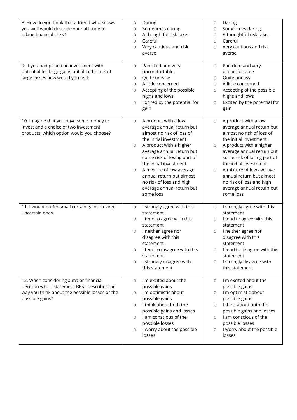| 8. How do you think that a friend who knows<br>you well would describe your attitude to<br>taking financial risks?<br>9. If you had picked an investment with<br>potential for large gains but also the risk of<br>large losses how would you feel: | $\circ$<br>O<br>O<br>$\circ$<br>O<br>O<br>O<br>$\circ$<br>O<br>$\circ$ | Daring<br>Sometimes daring<br>A thoughtful risk taker<br>Careful<br>Very cautious and risk<br>averse<br>Panicked and very<br>uncomfortable<br>Quite uneasy<br>A little concerned<br>Accepting of the possible<br>highs and lows<br>Excited by the potential for<br>gain                                                                                 | $\circ$<br>$\circlearrowright$<br>$\circlearrowright$<br>$\circ$<br>$\circ$<br>0<br>О<br>$\circ$<br>О<br>O | Daring<br>Sometimes daring<br>A thoughtful risk taker<br>Careful<br>Very cautious and risk<br>averse<br>Panicked and very<br>uncomfortable<br>Quite uneasy<br>A little concerned<br>Accepting of the possible<br>highs and lows<br>Excited by the potential for<br>gain                                                                                 |
|-----------------------------------------------------------------------------------------------------------------------------------------------------------------------------------------------------------------------------------------------------|------------------------------------------------------------------------|---------------------------------------------------------------------------------------------------------------------------------------------------------------------------------------------------------------------------------------------------------------------------------------------------------------------------------------------------------|------------------------------------------------------------------------------------------------------------|---------------------------------------------------------------------------------------------------------------------------------------------------------------------------------------------------------------------------------------------------------------------------------------------------------------------------------------------------------|
| 10. Imagine that you have some money to<br>invest and a choice of two investment<br>products, which option would you choose?                                                                                                                        | $\circlearrowright$<br>O<br>O                                          | A product with a low<br>average annual return but<br>almost no risk of loss of<br>the initial investment<br>A product with a higher<br>average annual return but<br>some risk of losing part of<br>the initial investment<br>A mixture of low average<br>annual return but almost<br>no risk of loss and high<br>average annual return but<br>some loss | $\circ$<br>0<br>$\circ$                                                                                    | A product with a low<br>average annual return but<br>almost no risk of loss of<br>the initial investment<br>A product with a higher<br>average annual return but<br>some risk of losing part of<br>the initial investment<br>A mixture of low average<br>annual return but almost<br>no risk of loss and high<br>average annual return but<br>some loss |
| 11. I would prefer small certain gains to large<br>uncertain ones                                                                                                                                                                                   | O<br>$\circ$<br>$\circ$<br>O<br>$\circ$                                | I strongly agree with this<br>statement<br>I tend to agree with this<br>statement<br>I neither agree nor<br>disagree with this<br>statement<br>I tend to disagree with this<br>statement<br>I strongly disagree with<br>this statement                                                                                                                  | 0<br>O<br>$\circ$<br>O<br>$\circ$                                                                          | I strongly agree with this<br>statement<br>I tend to agree with this<br>statement<br>I neither agree nor<br>disagree with this<br>statement<br>I tend to disagree with this<br>statement<br>I strongly disagree with<br>this statement<br>I'm excited about the                                                                                         |
| 12. When considering a major financial<br>decision which statement BEST describes the<br>way you think about the possible losses or the<br>possible gains?                                                                                          | $\circ$<br>O<br>$\circ$<br>$\circ$<br>$\circ$                          | I'm excited about the<br>possible gains<br>I'm optimistic about<br>possible gains<br>I think about both the<br>possible gains and losses<br>I am conscious of the<br>possible losses<br>I worry about the possible<br>losses                                                                                                                            | $\circ$<br>О<br>$\circ$<br>$\circ$<br>О                                                                    | possible gains<br>I'm optimistic about<br>possible gains<br>I think about both the<br>possible gains and losses<br>I am conscious of the<br>possible losses<br>I worry about the possible<br>losses                                                                                                                                                     |